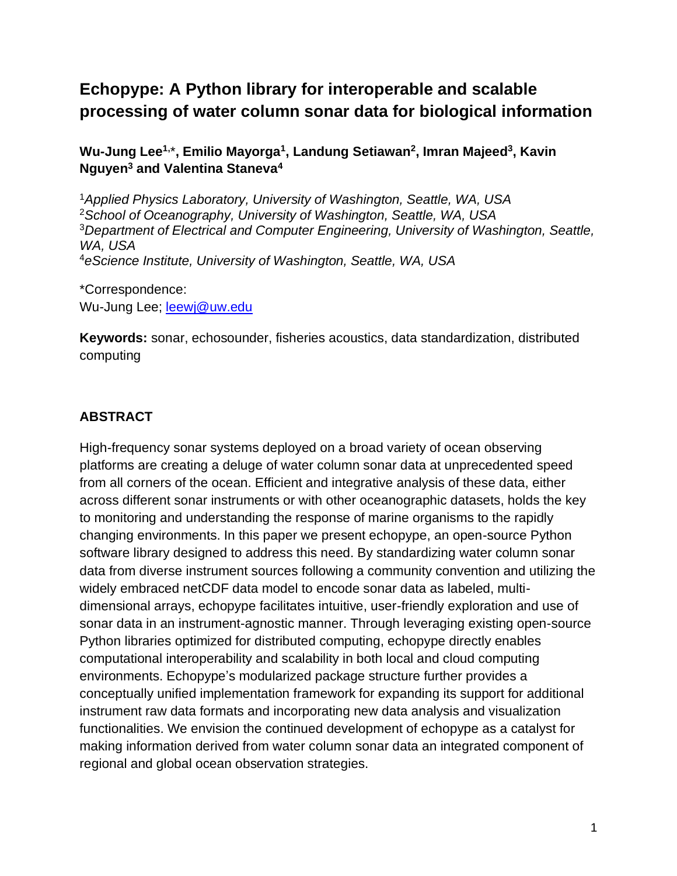# **Echopype: A Python library for interoperable and scalable processing of water column sonar data for biological information**

**Wu-Jung Lee1,** \***, Emilio Mayorga<sup>1</sup> , Landung Setiawan<sup>2</sup> , Imran Majeed<sup>3</sup> , Kavin Nguyen<sup>3</sup> and Valentina Staneva<sup>4</sup>**

*Applied Physics Laboratory, University of Washington, Seattle, WA, USA School of Oceanography, University of Washington, Seattle, WA, USA Department of Electrical and Computer Engineering, University of Washington, Seattle, WA, USA eScience Institute, University of Washington, Seattle, WA, USA*

\*Correspondence: Wu-Jung Lee; [leewj@uw.edu](mailto:leewj@uw.edu)

**Keywords:** sonar, echosounder, fisheries acoustics, data standardization, distributed computing

# **ABSTRACT**

High-frequency sonar systems deployed on a broad variety of ocean observing platforms are creating a deluge of water column sonar data at unprecedented speed from all corners of the ocean. Efficient and integrative analysis of these data, either across different sonar instruments or with other oceanographic datasets, holds the key to monitoring and understanding the response of marine organisms to the rapidly changing environments. In this paper we present echopype, an open-source Python software library designed to address this need. By standardizing water column sonar data from diverse instrument sources following a community convention and utilizing the widely embraced netCDF data model to encode sonar data as labeled, multidimensional arrays, echopype facilitates intuitive, user-friendly exploration and use of sonar data in an instrument-agnostic manner. Through leveraging existing open-source Python libraries optimized for distributed computing, echopype directly enables computational interoperability and scalability in both local and cloud computing environments. Echopype's modularized package structure further provides a conceptually unified implementation framework for expanding its support for additional instrument raw data formats and incorporating new data analysis and visualization functionalities. We envision the continued development of echopype as a catalyst for making information derived from water column sonar data an integrated component of regional and global ocean observation strategies.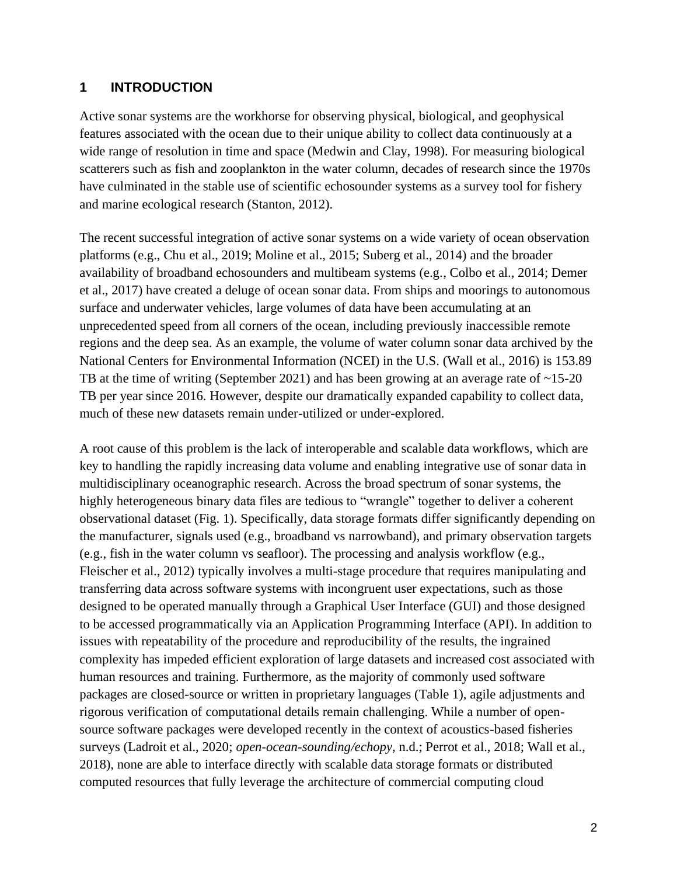#### **1 INTRODUCTION**

Active sonar systems are the workhorse for observing physical, biological, and geophysical features associated with the ocean due to their unique ability to collect data continuously at a wide range of resolution in time and space (Medwin and Clay, 1998). For measuring biological scatterers such as fish and zooplankton in the water column, decades of research since the 1970s have culminated in the stable use of scientific echosounder systems as a survey tool for fishery and marine ecological research (Stanton, 2012).

The recent successful integration of active sonar systems on a wide variety of ocean observation platforms (e.g., Chu et al., 2019; Moline et al., 2015; Suberg et al., 2014) and the broader availability of broadband echosounders and multibeam systems (e.g., Colbo et al., 2014; Demer et al., 2017) have created a deluge of ocean sonar data. From ships and moorings to autonomous surface and underwater vehicles, large volumes of data have been accumulating at an unprecedented speed from all corners of the ocean, including previously inaccessible remote regions and the deep sea. As an example, the volume of water column sonar data archived by the National Centers for Environmental Information (NCEI) in the U.S. (Wall et al., 2016) is 153.89 TB at the time of writing (September 2021) and has been growing at an average rate of  $\sim$ 15-20 TB per year since 2016. However, despite our dramatically expanded capability to collect data, much of these new datasets remain under-utilized or under-explored.

A root cause of this problem is the lack of interoperable and scalable data workflows, which are key to handling the rapidly increasing data volume and enabling integrative use of sonar data in multidisciplinary oceanographic research. Across the broad spectrum of sonar systems, the highly heterogeneous binary data files are tedious to "wrangle" together to deliver a coherent observational dataset (Fig. 1). Specifically, data storage formats differ significantly depending on the manufacturer, signals used (e.g., broadband vs narrowband), and primary observation targets (e.g., fish in the water column vs seafloor). The processing and analysis workflow (e.g., Fleischer et al., 2012) typically involves a multi-stage procedure that requires manipulating and transferring data across software systems with incongruent user expectations, such as those designed to be operated manually through a Graphical User Interface (GUI) and those designed to be accessed programmatically via an Application Programming Interface (API). In addition to issues with repeatability of the procedure and reproducibility of the results, the ingrained complexity has impeded efficient exploration of large datasets and increased cost associated with human resources and training. Furthermore, as the majority of commonly used software packages are closed-source or written in proprietary languages (Table 1), agile adjustments and rigorous verification of computational details remain challenging. While a number of opensource software packages were developed recently in the context of acoustics-based fisheries surveys (Ladroit et al., 2020; *open-ocean-sounding/echopy*, n.d.; Perrot et al., 2018; Wall et al., 2018), none are able to interface directly with scalable data storage formats or distributed computed resources that fully leverage the architecture of commercial computing cloud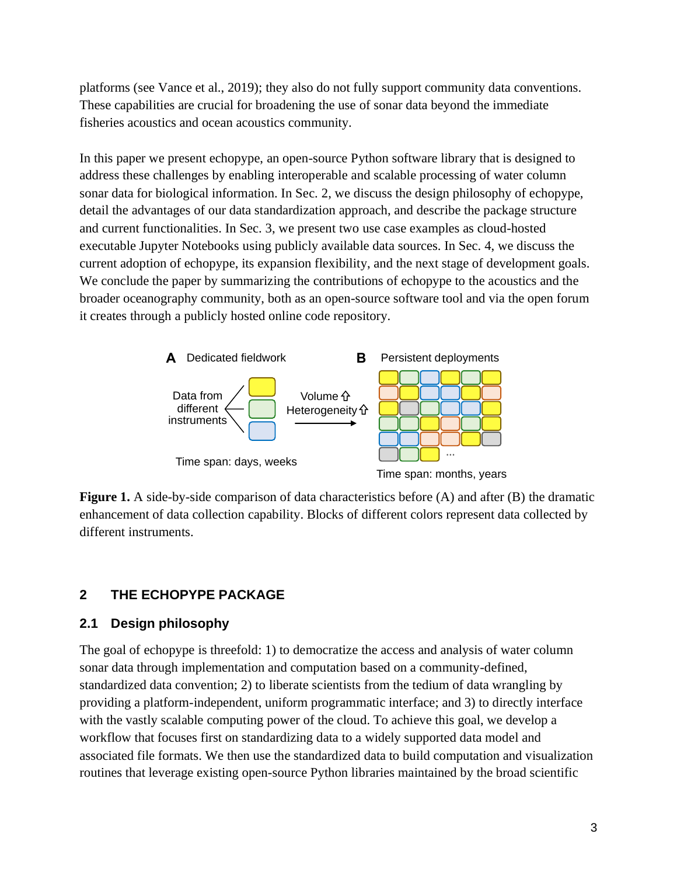platforms (see Vance et al., 2019); they also do not fully support community data conventions. These capabilities are crucial for broadening the use of sonar data beyond the immediate fisheries acoustics and ocean acoustics community.

In this paper we present echopype, an open-source Python software library that is designed to address these challenges by enabling interoperable and scalable processing of water column sonar data for biological information. In Sec. 2, we discuss the design philosophy of echopype, detail the advantages of our data standardization approach, and describe the package structure and current functionalities. In Sec. 3, we present two use case examples as cloud-hosted executable Jupyter Notebooks using publicly available data sources. In Sec. 4, we discuss the current adoption of echopype, its expansion flexibility, and the next stage of development goals. We conclude the paper by summarizing the contributions of echopype to the acoustics and the broader oceanography community, both as an open-source software tool and via the open forum it creates through a publicly hosted online code repository.



**Figure 1.** A side-by-side comparison of data characteristics before (A) and after (B) the dramatic enhancement of data collection capability. Blocks of different colors represent data collected by different instruments.

# **2 THE ECHOPYPE PACKAGE**

# **2.1 Design philosophy**

The goal of echopype is threefold: 1) to democratize the access and analysis of water column sonar data through implementation and computation based on a community-defined, standardized data convention; 2) to liberate scientists from the tedium of data wrangling by providing a platform-independent, uniform programmatic interface; and 3) to directly interface with the vastly scalable computing power of the cloud. To achieve this goal, we develop a workflow that focuses first on standardizing data to a widely supported data model and associated file formats. We then use the standardized data to build computation and visualization routines that leverage existing open-source Python libraries maintained by the broad scientific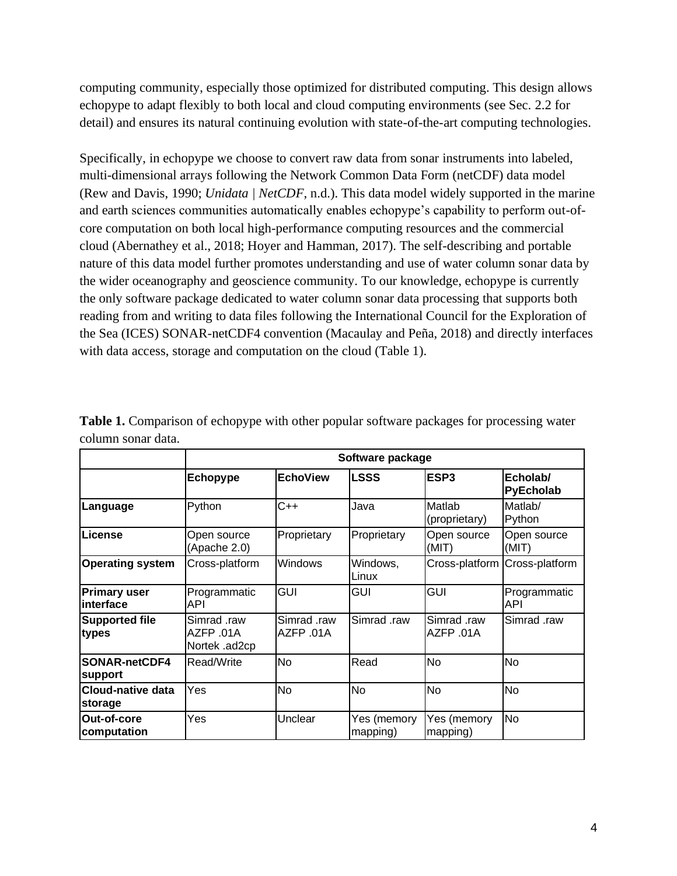computing community, especially those optimized for distributed computing. This design allows echopype to adapt flexibly to both local and cloud computing environments (see Sec. 2.2 for detail) and ensures its natural continuing evolution with state-of-the-art computing technologies.

Specifically, in echopype we choose to convert raw data from sonar instruments into labeled, multi-dimensional arrays following the Network Common Data Form (netCDF) data model (Rew and Davis, 1990; *Unidata | NetCDF*, n.d.). This data model widely supported in the marine and earth sciences communities automatically enables echopype's capability to perform out-ofcore computation on both local high-performance computing resources and the commercial cloud (Abernathey et al., 2018; Hoyer and Hamman, 2017). The self-describing and portable nature of this data model further promotes understanding and use of water column sonar data by the wider oceanography and geoscience community. To our knowledge, echopype is currently the only software package dedicated to water column sonar data processing that supports both reading from and writing to data files following the International Council for the Exploration of the Sea (ICES) SONAR-netCDF4 convention (Macaulay and Peña, 2018) and directly interfaces with data access, storage and computation on the cloud (Table 1).

|                                     | Software package                          |                         |                         |                          |                       |
|-------------------------------------|-------------------------------------------|-------------------------|-------------------------|--------------------------|-----------------------|
|                                     | Echopype                                  | <b>EchoView</b>         | <b>LSSS</b>             | ESP <sub>3</sub>         | Echolab/<br>PyEcholab |
| Language                            | Python                                    | C++                     | Java                    | Matlab<br>(proprietary)  | Matlab/<br>Python     |
| License                             | Open source<br>(Apache 2.0)               | Proprietary             | Proprietary             | Open source<br>(MIT)     | Open source<br>(MIT)  |
| <b>Operating system</b>             | Cross-platform                            | <b>Windows</b>          | Windows,<br>Linux       | Cross-platform           | Cross-platform        |
| <b>Primary user</b><br>interface    | Programmatic<br>API                       | GUI                     | GUI                     | <b>GUI</b>               | Programmatic<br>API   |
| <b>Supported file</b><br>types      | Simrad .raw<br>AZFP .01A<br>Nortek .ad2cp | Simrad raw<br>AZFP .01A | Simrad .raw             | Simrad .raw<br>AZFP .01A | Simrad .raw           |
| <b>SONAR-netCDF4</b><br>support     | Read/Write                                | No                      | Read                    | No                       | <b>No</b>             |
| <b>Cloud-native data</b><br>storage | Yes                                       | <b>No</b>               | No                      | No                       | <b>No</b>             |
| Out-of-core<br>computation          | Yes                                       | Unclear                 | Yes (memory<br>mapping) | Yes (memory<br>mapping)  | <b>No</b>             |

**Table 1.** Comparison of echopype with other popular software packages for processing water column sonar data.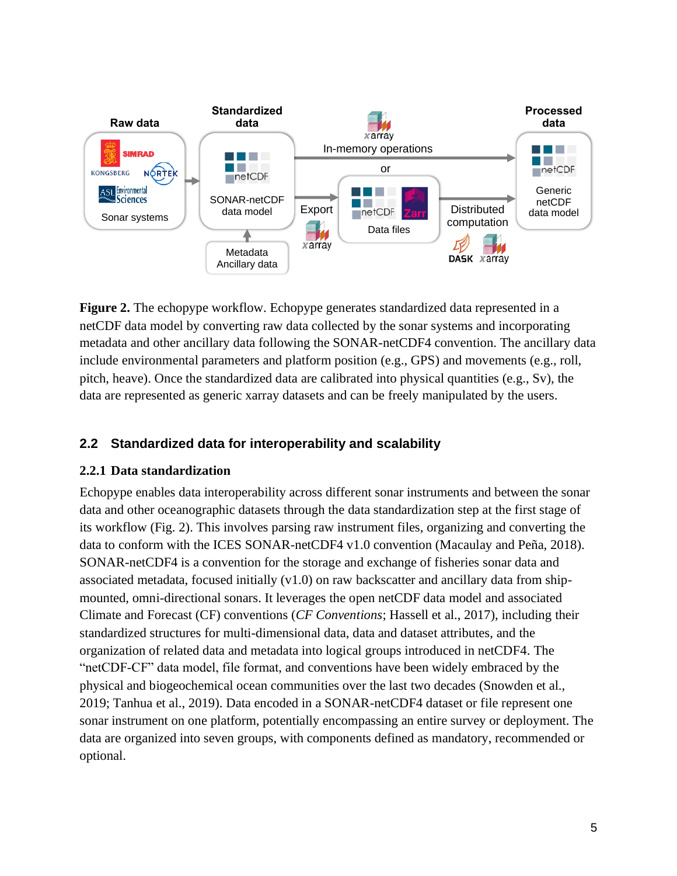

**Figure 2.** The echopype workflow. Echopype generates standardized data represented in a netCDF data model by converting raw data collected by the sonar systems and incorporating metadata and other ancillary data following the SONAR-netCDF4 convention. The ancillary data include environmental parameters and platform position (e.g., GPS) and movements (e.g., roll, pitch, heave). Once the standardized data are calibrated into physical quantities (e.g., Sv), the data are represented as generic xarray datasets and can be freely manipulated by the users.

# **2.2 Standardized data for interoperability and scalability**

# **2.2.1 Data standardization**

Echopype enables data interoperability across different sonar instruments and between the sonar data and other oceanographic datasets through the data standardization step at the first stage of its workflow (Fig. 2). This involves parsing raw instrument files, organizing and converting the data to conform with the ICES SONAR-netCDF4 v1.0 convention (Macaulay and Peña, 2018). SONAR-netCDF4 is a convention for the storage and exchange of fisheries sonar data and associated metadata, focused initially  $(v1.0)$  on raw backscatter and ancillary data from shipmounted, omni-directional sonars. It leverages the open netCDF data model and associated Climate and Forecast (CF) conventions (*CF Conventions*; Hassell et al., 2017), including their standardized structures for multi-dimensional data, data and dataset attributes, and the organization of related data and metadata into logical groups introduced in netCDF4. The "netCDF-CF" data model, file format, and conventions have been widely embraced by the physical and biogeochemical ocean communities over the last two decades (Snowden et al., 2019; Tanhua et al., 2019). Data encoded in a SONAR-netCDF4 dataset or file represent one sonar instrument on one platform, potentially encompassing an entire survey or deployment. The data are organized into seven groups, with components defined as mandatory, recommended or optional.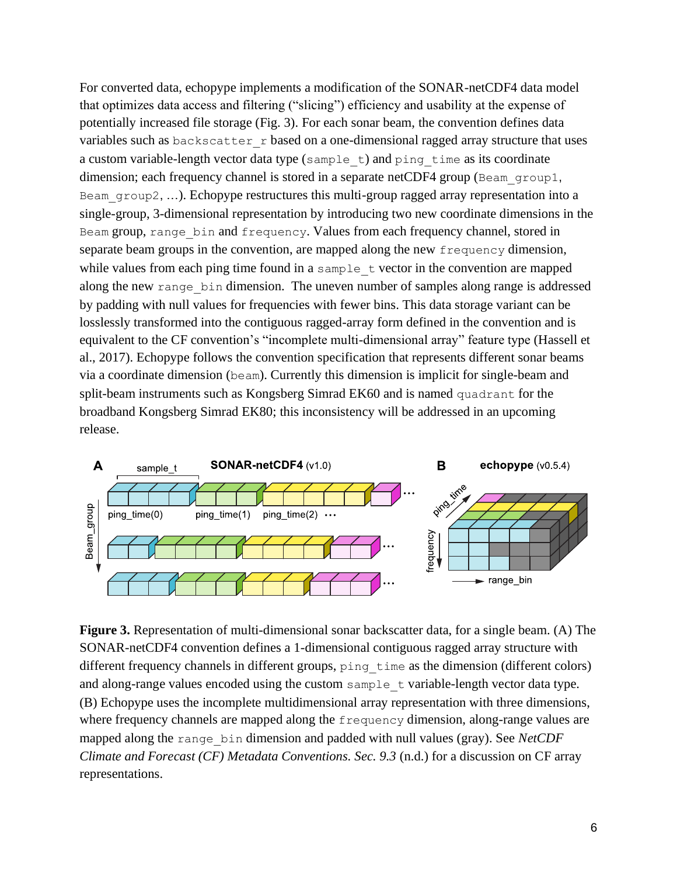For converted data, echopype implements a modification of the SONAR-netCDF4 data model that optimizes data access and filtering ("slicing") efficiency and usability at the expense of potentially increased file storage (Fig. 3). For each sonar beam, the convention defines data variables such as backscatter r based on a one-dimensional ragged array structure that uses a custom variable-length vector data type (sample\_t) and ping\_time as its coordinate dimension; each frequency channel is stored in a separate netCDF4 group (Beam group1, Beam group2, ...). Echopype restructures this multi-group ragged array representation into a single-group, 3-dimensional representation by introducing two new coordinate dimensions in the Beam group, range bin and frequency. Values from each frequency channel, stored in separate beam groups in the convention, are mapped along the new frequency dimension, while values from each ping time found in a sample  $\pm$  vector in the convention are mapped along the new range bin dimension. The uneven number of samples along range is addressed by padding with null values for frequencies with fewer bins. This data storage variant can be losslessly transformed into the contiguous ragged-array form defined in the convention and is equivalent to the CF convention's "incomplete multi-dimensional array" feature type (Hassell et al., 2017). Echopype follows the convention specification that represents different sonar beams via a coordinate dimension (beam). Currently this dimension is implicit for single-beam and split-beam instruments such as Kongsberg Simrad EK60 and is named quadrant for the broadband Kongsberg Simrad EK80; this inconsistency will be addressed in an upcoming release.



**Figure 3.** Representation of multi-dimensional sonar backscatter data, for a single beam. (A) The SONAR-netCDF4 convention defines a 1-dimensional contiguous ragged array structure with different frequency channels in different groups, ping time as the dimension (different colors) and along-range values encoded using the custom sample t variable-length vector data type. (B) Echopype uses the incomplete multidimensional array representation with three dimensions, where frequency channels are mapped along the frequency dimension, along-range values are mapped along the range\_bin dimension and padded with null values (gray). See *NetCDF Climate and Forecast (CF) Metadata Conventions. Sec. 9.3* (n.d.) for a discussion on CF array representations.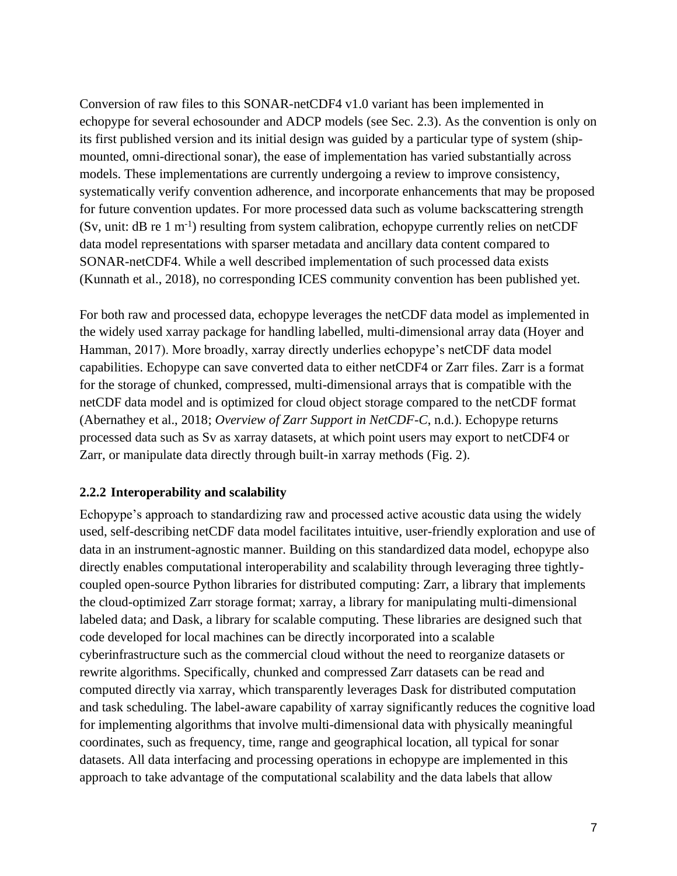Conversion of raw files to this SONAR-netCDF4 v1.0 variant has been implemented in echopype for several echosounder and ADCP models (see Sec. 2.3). As the convention is only on its first published version and its initial design was guided by a particular type of system (shipmounted, omni-directional sonar), the ease of implementation has varied substantially across models. These implementations are currently undergoing a review to improve consistency, systematically verify convention adherence, and incorporate enhancements that may be proposed for future convention updates. For more processed data such as volume backscattering strength  $(Sv, unit: dB re 1 m<sup>-1</sup>)$  resulting from system calibration, echopype currently relies on netCDF data model representations with sparser metadata and ancillary data content compared to SONAR-netCDF4. While a well described implementation of such processed data exists (Kunnath et al., 2018), no corresponding ICES community convention has been published yet.

For both raw and processed data, echopype leverages the netCDF data model as implemented in the widely used xarray package for handling labelled, multi-dimensional array data (Hoyer and Hamman, 2017). More broadly, xarray directly underlies echopype's netCDF data model capabilities. Echopype can save converted data to either netCDF4 or Zarr files. Zarr is a format for the storage of chunked, compressed, multi-dimensional arrays that is compatible with the netCDF data model and is optimized for cloud object storage compared to the netCDF format (Abernathey et al., 2018; *Overview of Zarr Support in NetCDF-C*, n.d.). Echopype returns processed data such as Sv as xarray datasets, at which point users may export to netCDF4 or Zarr, or manipulate data directly through built-in xarray methods (Fig. 2).

#### **2.2.2 Interoperability and scalability**

Echopype's approach to standardizing raw and processed active acoustic data using the widely used, self-describing netCDF data model facilitates intuitive, user-friendly exploration and use of data in an instrument-agnostic manner. Building on this standardized data model, echopype also directly enables computational interoperability and scalability through leveraging three tightlycoupled open-source Python libraries for distributed computing: Zarr, a library that implements the cloud-optimized Zarr storage format; xarray, a library for manipulating multi-dimensional labeled data; and Dask, a library for scalable computing. These libraries are designed such that code developed for local machines can be directly incorporated into a scalable cyberinfrastructure such as the commercial cloud without the need to reorganize datasets or rewrite algorithms. Specifically, chunked and compressed Zarr datasets can be read and computed directly via xarray, which transparently leverages Dask for distributed computation and task scheduling. The label-aware capability of xarray significantly reduces the cognitive load for implementing algorithms that involve multi-dimensional data with physically meaningful coordinates, such as frequency, time, range and geographical location, all typical for sonar datasets. All data interfacing and processing operations in echopype are implemented in this approach to take advantage of the computational scalability and the data labels that allow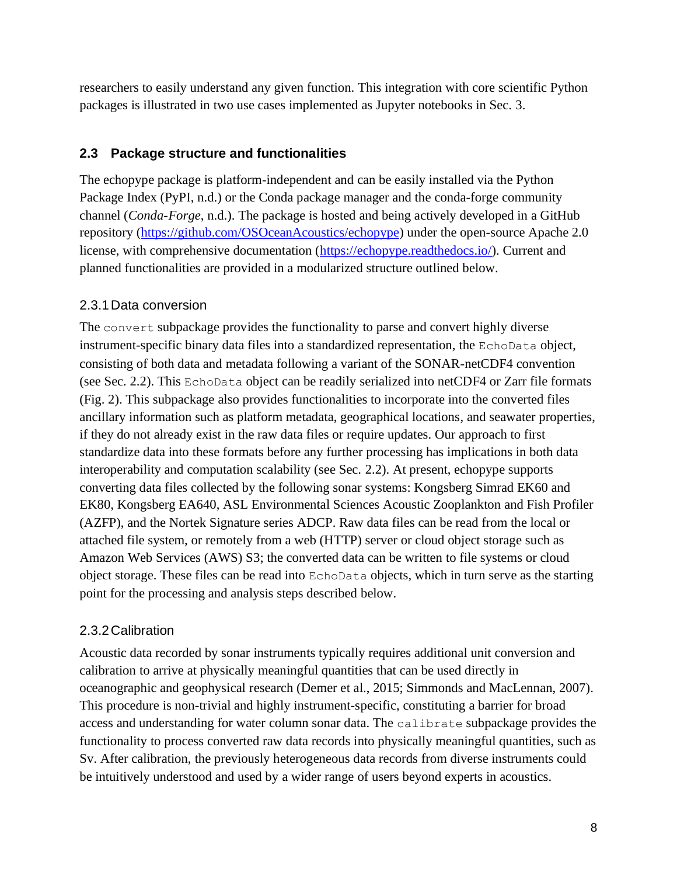researchers to easily understand any given function. This integration with core scientific Python packages is illustrated in two use cases implemented as Jupyter notebooks in Sec. 3.

# **2.3 Package structure and functionalities**

The echopype package is platform-independent and can be easily installed via the Python Package Index (PyPI, n.d.) or the Conda package manager and the conda-forge community channel (*Conda-Forge*, n.d.). The package is hosted and being actively developed in a GitHub repository [\(https://github.com/OSOceanAcoustics/echopype\)](https://github.com/OSOceanAcoustics/echopype) under the open-source Apache 2.0 license, with comprehensive documentation [\(https://echopype.readthedocs.io/\)](https://echopype.readthedocs.io/). Current and planned functionalities are provided in a modularized structure outlined below.

### 2.3.1Data conversion

The convert subpackage provides the functionality to parse and convert highly diverse instrument-specific binary data files into a standardized representation, the EchoData object, consisting of both data and metadata following a variant of the SONAR-netCDF4 convention (see Sec. 2.2). This EchoData object can be readily serialized into netCDF4 or Zarr file formats (Fig. 2). This subpackage also provides functionalities to incorporate into the converted files ancillary information such as platform metadata, geographical locations, and seawater properties, if they do not already exist in the raw data files or require updates. Our approach to first standardize data into these formats before any further processing has implications in both data interoperability and computation scalability (see Sec. 2.2). At present, echopype supports converting data files collected by the following sonar systems: Kongsberg Simrad EK60 and EK80, Kongsberg EA640, ASL Environmental Sciences Acoustic Zooplankton and Fish Profiler (AZFP), and the Nortek Signature series ADCP. Raw data files can be read from the local or attached file system, or remotely from a web (HTTP) server or cloud object storage such as Amazon Web Services (AWS) S3; the converted data can be written to file systems or cloud object storage. These files can be read into EchoData objects, which in turn serve as the starting point for the processing and analysis steps described below.

#### 2.3.2Calibration

Acoustic data recorded by sonar instruments typically requires additional unit conversion and calibration to arrive at physically meaningful quantities that can be used directly in oceanographic and geophysical research (Demer et al., 2015; Simmonds and MacLennan, 2007). This procedure is non-trivial and highly instrument-specific, constituting a barrier for broad access and understanding for water column sonar data. The calibrate subpackage provides the functionality to process converted raw data records into physically meaningful quantities, such as Sv. After calibration, the previously heterogeneous data records from diverse instruments could be intuitively understood and used by a wider range of users beyond experts in acoustics.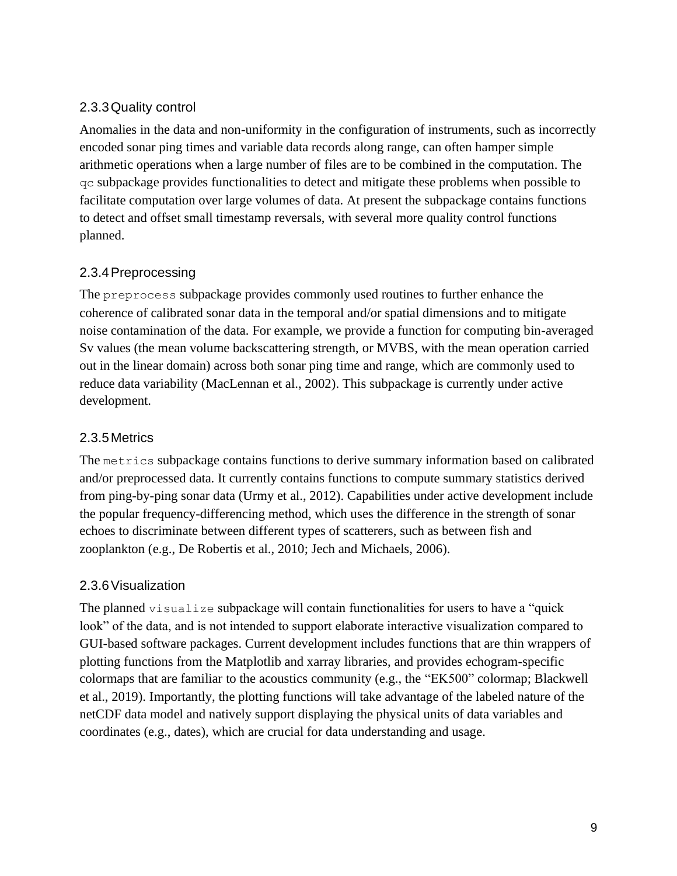# 2.3.3Quality control

Anomalies in the data and non-uniformity in the configuration of instruments, such as incorrectly encoded sonar ping times and variable data records along range, can often hamper simple arithmetic operations when a large number of files are to be combined in the computation. The qc subpackage provides functionalities to detect and mitigate these problems when possible to facilitate computation over large volumes of data. At present the subpackage contains functions to detect and offset small timestamp reversals, with several more quality control functions planned.

# 2.3.4Preprocessing

The preprocess subpackage provides commonly used routines to further enhance the coherence of calibrated sonar data in the temporal and/or spatial dimensions and to mitigate noise contamination of the data. For example, we provide a function for computing bin-averaged Sv values (the mean volume backscattering strength, or MVBS, with the mean operation carried out in the linear domain) across both sonar ping time and range, which are commonly used to reduce data variability (MacLennan et al., 2002). This subpackage is currently under active development.

### 2.3.5Metrics

The metrics subpackage contains functions to derive summary information based on calibrated and/or preprocessed data. It currently contains functions to compute summary statistics derived from ping-by-ping sonar data (Urmy et al., 2012). Capabilities under active development include the popular frequency-differencing method, which uses the difference in the strength of sonar echoes to discriminate between different types of scatterers, such as between fish and zooplankton (e.g., De Robertis et al., 2010; Jech and Michaels, 2006).

#### 2.3.6Visualization

The planned visualize subpackage will contain functionalities for users to have a "quick" look" of the data, and is not intended to support elaborate interactive visualization compared to GUI-based software packages. Current development includes functions that are thin wrappers of plotting functions from the Matplotlib and xarray libraries, and provides echogram-specific colormaps that are familiar to the acoustics community (e.g., the "EK500" colormap; Blackwell et al., 2019). Importantly, the plotting functions will take advantage of the labeled nature of the netCDF data model and natively support displaying the physical units of data variables and coordinates (e.g., dates), which are crucial for data understanding and usage.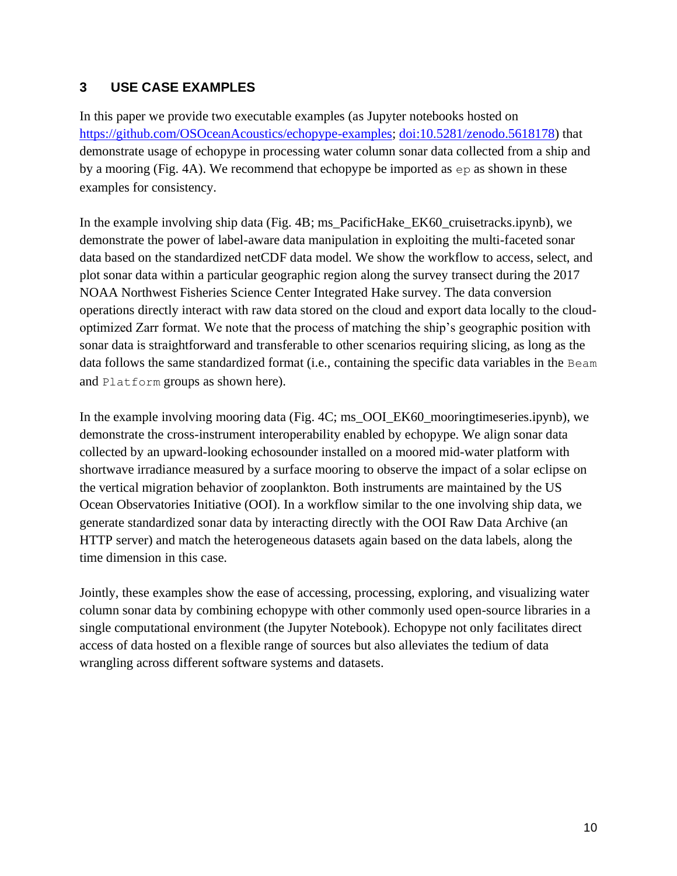# **3 USE CASE EXAMPLES**

In this paper we provide two executable examples (as Jupyter notebooks hosted on [https://github.com/OSOceanAcoustics/echopype-examples;](https://github.com/OSOceanAcoustics/echopype-examples) [doi:10.5281/zenodo.5618178\)](https://doi.org/10.5281/zenodo.5618177) that demonstrate usage of echopype in processing water column sonar data collected from a ship and by a mooring (Fig. 4A). We recommend that echopype be imported as ep as shown in these examples for consistency.

In the example involving ship data (Fig. 4B; ms\_PacificHake\_EK60\_cruisetracks.ipynb), we demonstrate the power of label-aware data manipulation in exploiting the multi-faceted sonar data based on the standardized netCDF data model. We show the workflow to access, select, and plot sonar data within a particular geographic region along the survey transect during the 2017 NOAA Northwest Fisheries Science Center Integrated Hake survey. The data conversion operations directly interact with raw data stored on the cloud and export data locally to the cloudoptimized Zarr format. We note that the process of matching the ship's geographic position with sonar data is straightforward and transferable to other scenarios requiring slicing, as long as the data follows the same standardized format (i.e., containing the specific data variables in the Beam and Platform groups as shown here).

In the example involving mooring data (Fig. 4C; ms\_OOI\_EK60\_mooringtimeseries.ipynb), we demonstrate the cross-instrument interoperability enabled by echopype. We align sonar data collected by an upward-looking echosounder installed on a moored mid-water platform with shortwave irradiance measured by a surface mooring to observe the impact of a solar eclipse on the vertical migration behavior of zooplankton. Both instruments are maintained by the US Ocean Observatories Initiative (OOI). In a workflow similar to the one involving ship data, we generate standardized sonar data by interacting directly with the OOI Raw Data Archive (an HTTP server) and match the heterogeneous datasets again based on the data labels, along the time dimension in this case.

Jointly, these examples show the ease of accessing, processing, exploring, and visualizing water column sonar data by combining echopype with other commonly used open-source libraries in a single computational environment (the Jupyter Notebook). Echopype not only facilitates direct access of data hosted on a flexible range of sources but also alleviates the tedium of data wrangling across different software systems and datasets.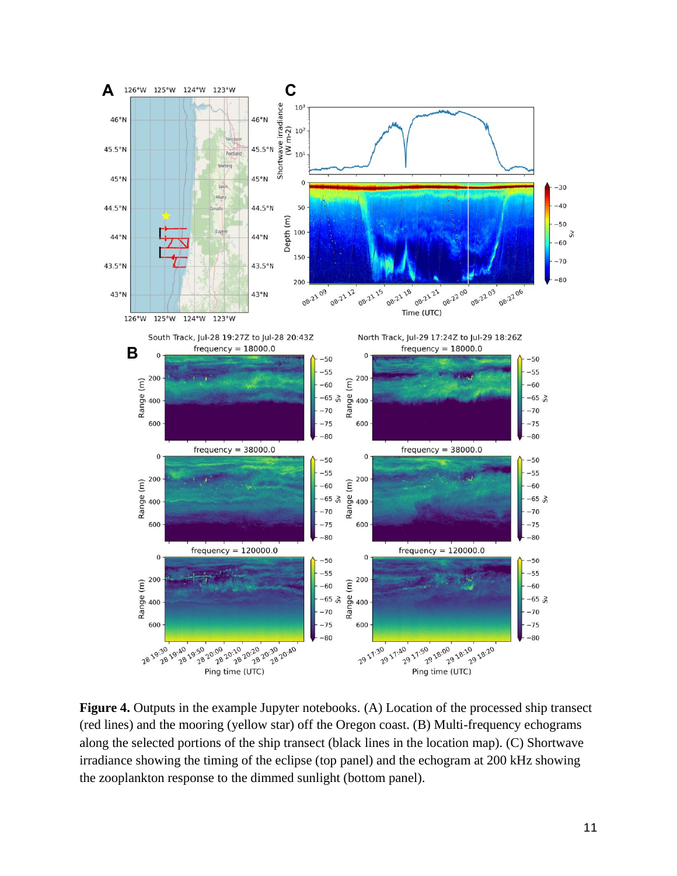

**Figure 4.** Outputs in the example Jupyter notebooks. (A) Location of the processed ship transect (red lines) and the mooring (yellow star) off the Oregon coast. (B) Multi-frequency echograms along the selected portions of the ship transect (black lines in the location map). (C) Shortwave irradiance showing the timing of the eclipse (top panel) and the echogram at 200 kHz showing the zooplankton response to the dimmed sunlight (bottom panel).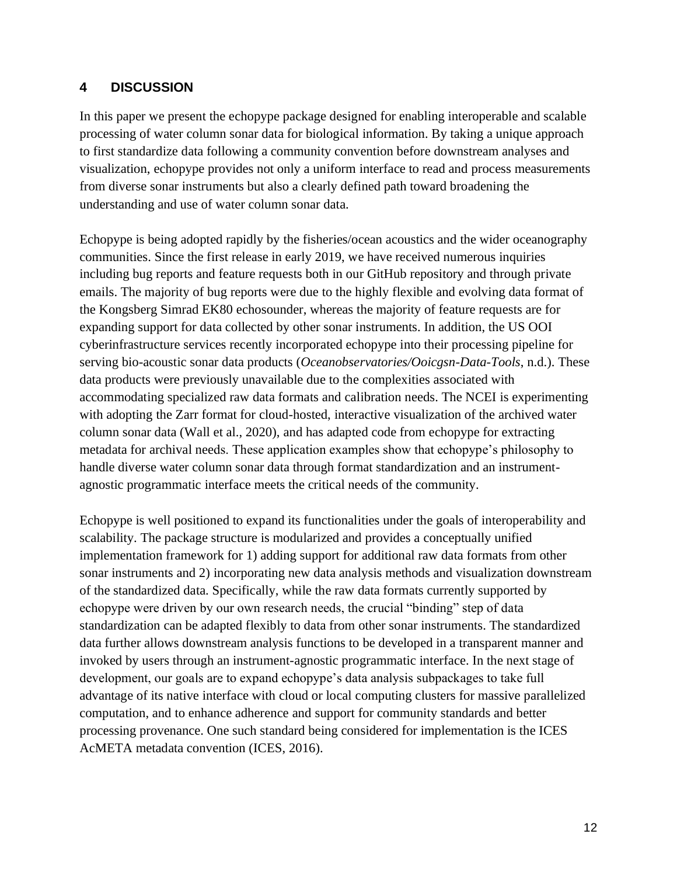# **4 DISCUSSION**

In this paper we present the echopype package designed for enabling interoperable and scalable processing of water column sonar data for biological information. By taking a unique approach to first standardize data following a community convention before downstream analyses and visualization, echopype provides not only a uniform interface to read and process measurements from diverse sonar instruments but also a clearly defined path toward broadening the understanding and use of water column sonar data.

Echopype is being adopted rapidly by the fisheries/ocean acoustics and the wider oceanography communities. Since the first release in early 2019, we have received numerous inquiries including bug reports and feature requests both in our GitHub repository and through private emails. The majority of bug reports were due to the highly flexible and evolving data format of the Kongsberg Simrad EK80 echosounder, whereas the majority of feature requests are for expanding support for data collected by other sonar instruments. In addition, the US OOI cyberinfrastructure services recently incorporated echopype into their processing pipeline for serving bio-acoustic sonar data products (*Oceanobservatories/Ooicgsn-Data-Tools*, n.d.). These data products were previously unavailable due to the complexities associated with accommodating specialized raw data formats and calibration needs. The NCEI is experimenting with adopting the Zarr format for cloud-hosted, interactive visualization of the archived water column sonar data (Wall et al., 2020), and has adapted code from echopype for extracting metadata for archival needs. These application examples show that echopype's philosophy to handle diverse water column sonar data through format standardization and an instrumentagnostic programmatic interface meets the critical needs of the community.

Echopype is well positioned to expand its functionalities under the goals of interoperability and scalability. The package structure is modularized and provides a conceptually unified implementation framework for 1) adding support for additional raw data formats from other sonar instruments and 2) incorporating new data analysis methods and visualization downstream of the standardized data. Specifically, while the raw data formats currently supported by echopype were driven by our own research needs, the crucial "binding" step of data standardization can be adapted flexibly to data from other sonar instruments. The standardized data further allows downstream analysis functions to be developed in a transparent manner and invoked by users through an instrument-agnostic programmatic interface. In the next stage of development, our goals are to expand echopype's data analysis subpackages to take full advantage of its native interface with cloud or local computing clusters for massive parallelized computation, and to enhance adherence and support for community standards and better processing provenance. One such standard being considered for implementation is the ICES AcMETA metadata convention (ICES, 2016).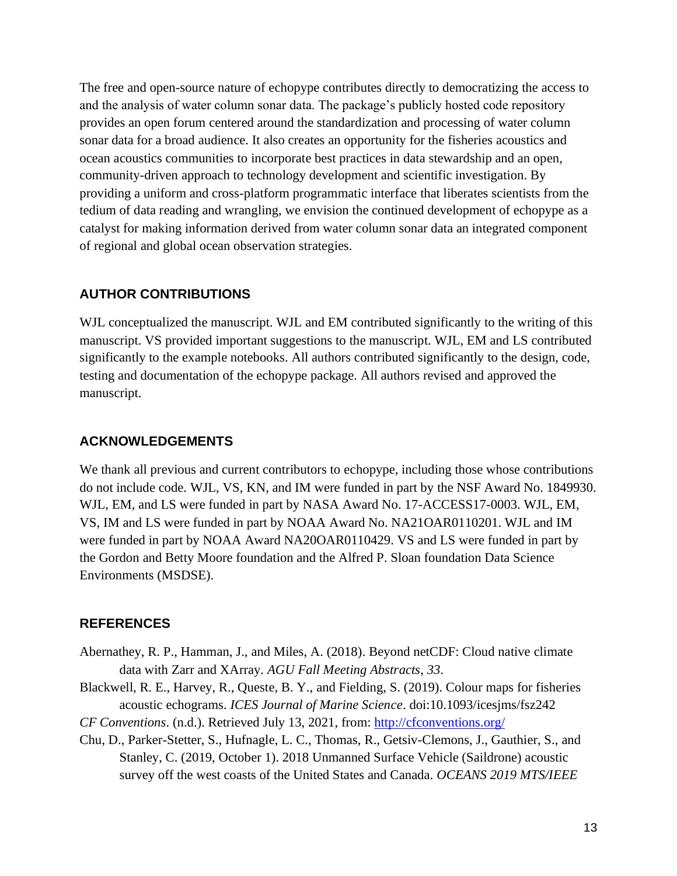The free and open-source nature of echopype contributes directly to democratizing the access to and the analysis of water column sonar data. The package's publicly hosted code repository provides an open forum centered around the standardization and processing of water column sonar data for a broad audience. It also creates an opportunity for the fisheries acoustics and ocean acoustics communities to incorporate best practices in data stewardship and an open, community-driven approach to technology development and scientific investigation. By providing a uniform and cross-platform programmatic interface that liberates scientists from the tedium of data reading and wrangling, we envision the continued development of echopype as a catalyst for making information derived from water column sonar data an integrated component of regional and global ocean observation strategies.

#### **AUTHOR CONTRIBUTIONS**

WJL conceptualized the manuscript. WJL and EM contributed significantly to the writing of this manuscript. VS provided important suggestions to the manuscript. WJL, EM and LS contributed significantly to the example notebooks. All authors contributed significantly to the design, code, testing and documentation of the echopype package. All authors revised and approved the manuscript.

### **ACKNOWLEDGEMENTS**

We thank all previous and current contributors to echopype, including those whose contributions do not include code. WJL, VS, KN, and IM were funded in part by the NSF Award No. 1849930. WJL, EM, and LS were funded in part by NASA Award No. 17-ACCESS17-0003. WJL, EM, VS, IM and LS were funded in part by NOAA Award No. NA21OAR0110201. WJL and IM were funded in part by NOAA Award NA20OAR0110429. VS and LS were funded in part by the Gordon and Betty Moore foundation and the Alfred P. Sloan foundation Data Science Environments (MSDSE).

#### **REFERENCES**

- Abernathey, R. P., Hamman, J., and Miles, A. (2018). Beyond netCDF: Cloud native climate data with Zarr and XArray. *AGU Fall Meeting Abstracts*, *33*.
- Blackwell, R. E., Harvey, R., Queste, B. Y., and Fielding, S. (2019). Colour maps for fisheries acoustic echograms. *ICES Journal of Marine Science*. doi:10.1093/icesjms/fsz242
- *CF Conventions.* (n.d.). Retrieved July 13, 2021, from: <http://cfconventions.org/>
- Chu, D., Parker-Stetter, S., Hufnagle, L. C., Thomas, R., Getsiv-Clemons, J., Gauthier, S., and Stanley, C. (2019, October 1). 2018 Unmanned Surface Vehicle (Saildrone) acoustic survey off the west coasts of the United States and Canada. *OCEANS 2019 MTS/IEEE*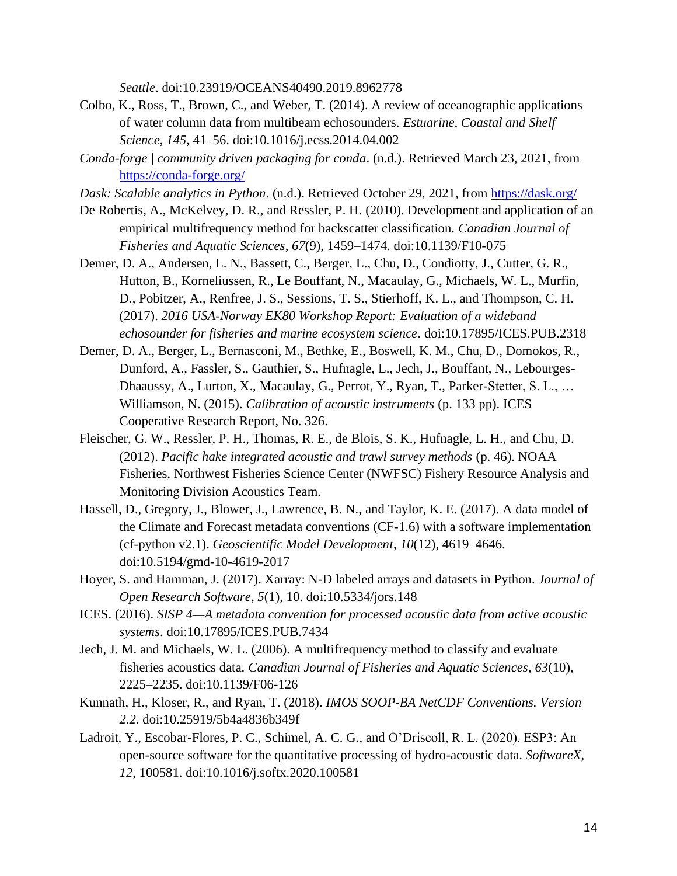*Seattle*. doi:10.23919/OCEANS40490.2019.8962778

- Colbo, K., Ross, T., Brown, C., and Weber, T. (2014). A review of oceanographic applications of water column data from multibeam echosounders. *Estuarine, Coastal and Shelf Science*, *145*, 41–56. doi:10.1016/j.ecss.2014.04.002
- *Conda-forge | community driven packaging for conda*. (n.d.). Retrieved March 23, 2021, from <https://conda-forge.org/>
- *Dask: Scalable analytics in Python*. (n.d.). Retrieved October 29, 2021, from<https://dask.org/>
- De Robertis, A., McKelvey, D. R., and Ressler, P. H. (2010). Development and application of an empirical multifrequency method for backscatter classification. *Canadian Journal of Fisheries and Aquatic Sciences*, *67*(9), 1459–1474. doi:10.1139/F10-075
- Demer, D. A., Andersen, L. N., Bassett, C., Berger, L., Chu, D., Condiotty, J., Cutter, G. R., Hutton, B., Korneliussen, R., Le Bouffant, N., Macaulay, G., Michaels, W. L., Murfin, D., Pobitzer, A., Renfree, J. S., Sessions, T. S., Stierhoff, K. L., and Thompson, C. H. (2017). *2016 USA-Norway EK80 Workshop Report: Evaluation of a wideband echosounder for fisheries and marine ecosystem science*. doi:10.17895/ICES.PUB.2318
- Demer, D. A., Berger, L., Bernasconi, M., Bethke, E., Boswell, K. M., Chu, D., Domokos, R., Dunford, A., Fassler, S., Gauthier, S., Hufnagle, L., Jech, J., Bouffant, N., Lebourges-Dhaaussy, A., Lurton, X., Macaulay, G., Perrot, Y., Ryan, T., Parker-Stetter, S. L., … Williamson, N. (2015). *Calibration of acoustic instruments* (p. 133 pp). ICES Cooperative Research Report, No. 326.
- Fleischer, G. W., Ressler, P. H., Thomas, R. E., de Blois, S. K., Hufnagle, L. H., and Chu, D. (2012). *Pacific hake integrated acoustic and trawl survey methods* (p. 46). NOAA Fisheries, Northwest Fisheries Science Center (NWFSC) Fishery Resource Analysis and Monitoring Division Acoustics Team.
- Hassell, D., Gregory, J., Blower, J., Lawrence, B. N., and Taylor, K. E. (2017). A data model of the Climate and Forecast metadata conventions (CF-1.6) with a software implementation (cf-python v2.1). *Geoscientific Model Development*, *10*(12), 4619–4646. doi:10.5194/gmd-10-4619-2017
- Hoyer, S. and Hamman, J. (2017). Xarray: N-D labeled arrays and datasets in Python. *Journal of Open Research Software*, *5*(1), 10. doi:10.5334/jors.148
- ICES. (2016). *SISP 4—A metadata convention for processed acoustic data from active acoustic systems*. doi:10.17895/ICES.PUB.7434
- Jech, J. M. and Michaels, W. L. (2006). A multifrequency method to classify and evaluate fisheries acoustics data. *Canadian Journal of Fisheries and Aquatic Sciences*, *63*(10), 2225–2235. doi:10.1139/F06-126
- Kunnath, H., Kloser, R., and Ryan, T. (2018). *IMOS SOOP-BA NetCDF Conventions. Version 2.2*. doi:10.25919/5b4a4836b349f
- Ladroit, Y., Escobar-Flores, P. C., Schimel, A. C. G., and O'Driscoll, R. L. (2020). ESP3: An open-source software for the quantitative processing of hydro-acoustic data. *SoftwareX*, *12*, 100581. doi:10.1016/j.softx.2020.100581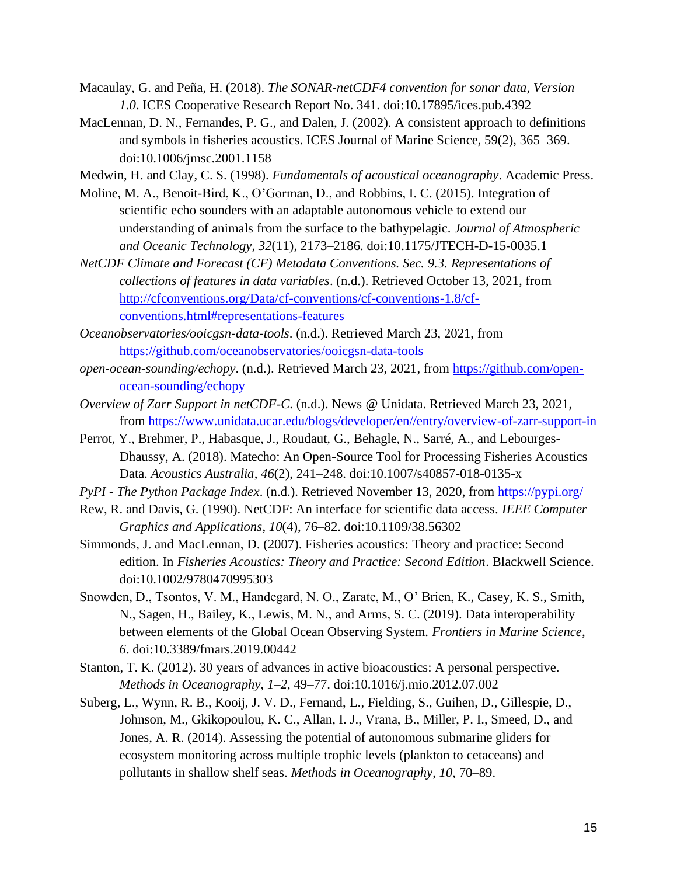- Macaulay, G. and Peña, H. (2018). *The SONAR-netCDF4 convention for sonar data, Version 1.0*. ICES Cooperative Research Report No. 341. doi:10.17895/ices.pub.4392
- MacLennan, D. N., Fernandes, P. G., and Dalen, J. (2002). A consistent approach to definitions and symbols in fisheries acoustics. ICES Journal of Marine Science, 59(2), 365–369. doi:10.1006/jmsc.2001.1158
- Medwin, H. and Clay, C. S. (1998). *Fundamentals of acoustical oceanography*. Academic Press.
- Moline, M. A., Benoit-Bird, K., O'Gorman, D., and Robbins, I. C. (2015). Integration of scientific echo sounders with an adaptable autonomous vehicle to extend our understanding of animals from the surface to the bathypelagic. *Journal of Atmospheric and Oceanic Technology*, *32*(11), 2173–2186. doi:10.1175/JTECH-D-15-0035.1
- *NetCDF Climate and Forecast (CF) Metadata Conventions. Sec. 9.3. Representations of collections of features in data variables*. (n.d.). Retrieved October 13, 2021, from [http://cfconventions.org/Data/cf-conventions/cf-conventions-1.8/cf](http://cfconventions.org/Data/cf-conventions/cf-conventions-1.8/cf-conventions.html#representations-features)[conventions.html#representations-features](http://cfconventions.org/Data/cf-conventions/cf-conventions-1.8/cf-conventions.html#representations-features)
- *Oceanobservatories/ooicgsn-data-tools*. (n.d.). Retrieved March 23, 2021, from <https://github.com/oceanobservatories/ooicgsn-data-tools>
- *open-ocean-sounding/echopy*. (n.d.). Retrieved March 23, 2021, from [https://github.com/open](https://github.com/open-ocean-sounding/echopy)[ocean-sounding/echopy](https://github.com/open-ocean-sounding/echopy)
- *Overview of Zarr Support in netCDF-C*. (n.d.). News @ Unidata. Retrieved March 23, 2021, from [https://www.unidata.ucar.edu/blogs/developer/en//entry/overview-of-zarr-support-in](https://www.unidata.ucar.edu/blogs/developer/en/entry/overview-of-zarr-support-in)
- Perrot, Y., Brehmer, P., Habasque, J., Roudaut, G., Behagle, N., Sarré, A., and Lebourges-Dhaussy, A. (2018). Matecho: An Open-Source Tool for Processing Fisheries Acoustics Data. *Acoustics Australia*, *46*(2), 241–248. doi:10.1007/s40857-018-0135-x
- *PyPI - The Python Package Index*. (n.d.). Retrieved November 13, 2020, from<https://pypi.org/>
- Rew, R. and Davis, G. (1990). NetCDF: An interface for scientific data access. *IEEE Computer Graphics and Applications*, *10*(4), 76–82. doi:10.1109/38.56302
- Simmonds, J. and MacLennan, D. (2007). Fisheries acoustics: Theory and practice: Second edition. In *Fisheries Acoustics: Theory and Practice: Second Edition*. Blackwell Science. doi:10.1002/9780470995303
- Snowden, D., Tsontos, V. M., Handegard, N. O., Zarate, M., O' Brien, K., Casey, K. S., Smith, N., Sagen, H., Bailey, K., Lewis, M. N., and Arms, S. C. (2019). Data interoperability between elements of the Global Ocean Observing System. *Frontiers in Marine Science*, *6*. doi:10.3389/fmars.2019.00442
- Stanton, T. K. (2012). 30 years of advances in active bioacoustics: A personal perspective. *Methods in Oceanography*, *1–2*, 49–77. doi:10.1016/j.mio.2012.07.002
- Suberg, L., Wynn, R. B., Kooij, J. V. D., Fernand, L., Fielding, S., Guihen, D., Gillespie, D., Johnson, M., Gkikopoulou, K. C., Allan, I. J., Vrana, B., Miller, P. I., Smeed, D., and Jones, A. R. (2014). Assessing the potential of autonomous submarine gliders for ecosystem monitoring across multiple trophic levels (plankton to cetaceans) and pollutants in shallow shelf seas. *Methods in Oceanography*, *10*, 70–89.